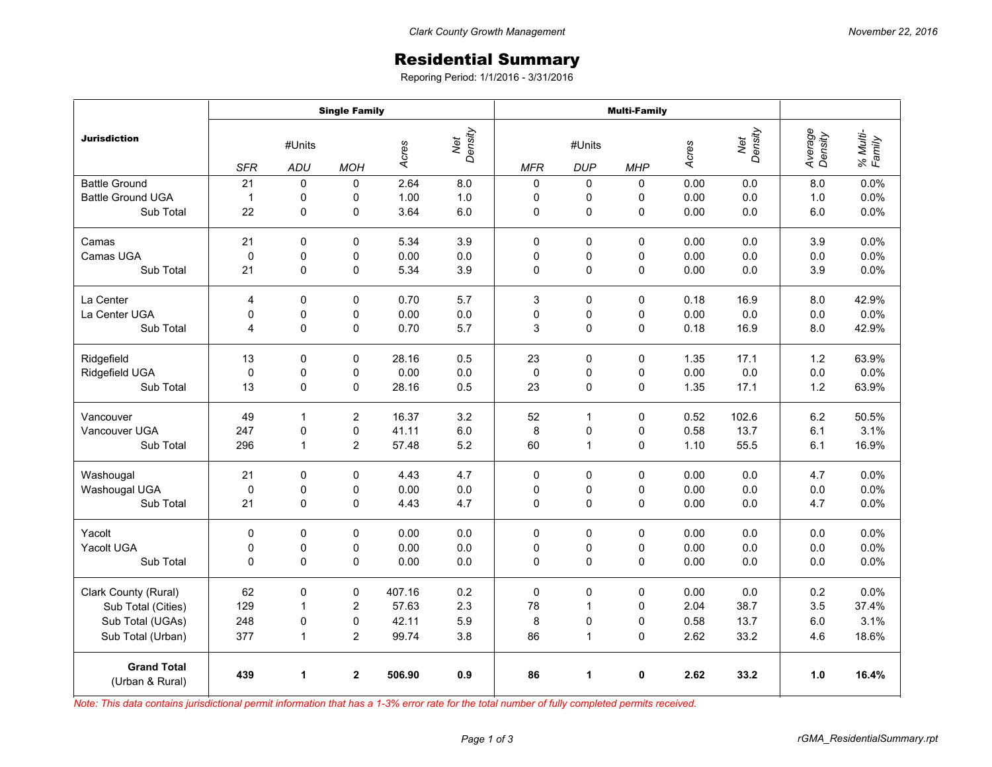## Residential Summary

Reporing Period: 1/1/2016 - 3/31/2016

|                                       | <b>Single Family</b> |             |                |        |                | <b>Multi-Family</b> |              |             |       |                |                    |                    |
|---------------------------------------|----------------------|-------------|----------------|--------|----------------|---------------------|--------------|-------------|-------|----------------|--------------------|--------------------|
| <b>Jurisdiction</b>                   | #Units               |             |                | Acres  | Net<br>Density | #Units              |              |             | Acres | Net<br>Density | Average<br>Density | % Multi-<br>Family |
|                                       | <b>SFR</b>           | ADU         | <b>MOH</b>     |        |                | <b>MFR</b>          | <b>DUP</b>   | <b>MHP</b>  |       |                |                    |                    |
| <b>Battle Ground</b>                  | 21                   | 0           | $\Omega$       | 2.64   | 8.0            | 0                   | 0            | 0           | 0.00  | 0.0            | 8.0                | 0.0%               |
| <b>Battle Ground UGA</b>              | $\mathbf{1}$         | 0           | 0              | 1.00   | 1.0            | 0                   | 0            | 0           | 0.00  | 0.0            | 1.0                | 0.0%               |
| Sub Total                             | 22                   | 0           | 0              | 3.64   | 6.0            | 0                   | 0            | 0           | 0.00  | 0.0            | 6.0                | 0.0%               |
| Camas                                 | 21                   | 0           | $\Omega$       | 5.34   | 3.9            | $\Omega$            | $\mathbf 0$  | $\Omega$    | 0.00  | 0.0            | 3.9                | 0.0%               |
| Camas UGA                             | $\mathbf 0$          | 0           | 0              | 0.00   | 0.0            | 0                   | 0            | 0           | 0.00  | 0.0            | 0.0                | 0.0%               |
| Sub Total                             | 21                   | 0           | 0              | 5.34   | 3.9            | 0                   | 0            | 0           | 0.00  | $0.0\,$        | 3.9                | 0.0%               |
| La Center                             | 4                    | $\mathbf 0$ | 0              | 0.70   | 5.7            | 3                   | 0            | 0           | 0.18  | 16.9           | 8.0                | 42.9%              |
| La Center UGA                         | 0                    | 0           | 0              | 0.00   | 0.0            | 0                   | 0            | 0           | 0.00  | 0.0            | 0.0                | 0.0%               |
| Sub Total                             | 4                    | 0           | 0              | 0.70   | 5.7            | 3                   | $\pmb{0}$    | 0           | 0.18  | 16.9           | 8.0                | 42.9%              |
| Ridgefield                            | 13                   | 0           | $\Omega$       | 28.16  | 0.5            | 23                  | $\mathbf 0$  | 0           | 1.35  | 17.1           | 1.2                | 63.9%              |
| Ridgefield UGA                        | $\mathbf 0$          | 0           | 0              | 0.00   | 0.0            | $\mathbf 0$         | 0            | 0           | 0.00  | 0.0            | 0.0                | 0.0%               |
| Sub Total                             | 13                   | 0           | 0              | 28.16  | 0.5            | 23                  | $\pmb{0}$    | $\mathbf 0$ | 1.35  | 17.1           | 1.2                | 63.9%              |
| Vancouver                             | 49                   | 1           | $\overline{2}$ | 16.37  | 3.2            | 52                  | 1            | 0           | 0.52  | 102.6          | 6.2                | 50.5%              |
| Vancouver UGA                         | 247                  | $\pmb{0}$   | 0              | 41.11  | $6.0\,$        | 8                   | 0            | 0           | 0.58  | 13.7           | 6.1                | 3.1%               |
| Sub Total                             | 296                  | 1           | 2              | 57.48  | 5.2            | 60                  | 1            | 0           | 1.10  | 55.5           | 6.1                | 16.9%              |
| Washougal                             | 21                   | 0           | 0              | 4.43   | 4.7            | 0                   | $\pmb{0}$    | 0           | 0.00  | 0.0            | 4.7                | 0.0%               |
| Washougal UGA                         | $\pmb{0}$            | 0           | 0              | 0.00   | 0.0            | 0                   | 0            | 0           | 0.00  | 0.0            | 0.0                | 0.0%               |
| Sub Total                             | 21                   | 0           | 0              | 4.43   | 4.7            | 0                   | 0            | 0           | 0.00  | 0.0            | 4.7                | 0.0%               |
| Yacolt                                | $\mathbf 0$          | $\Omega$    | $\Omega$       | 0.00   | 0.0            | $\Omega$            | $\mathbf 0$  | $\Omega$    | 0.00  | 0.0            | 0.0                | 0.0%               |
| Yacolt UGA                            | 0                    | 0           | 0              | 0.00   | 0.0            | 0                   | 0            | 0           | 0.00  | 0.0            | 0.0                | 0.0%               |
| Sub Total                             | 0                    | $\Omega$    | 0              | 0.00   | 0.0            | $\mathbf 0$         | $\mathbf 0$  | $\mathbf 0$ | 0.00  | 0.0            | 0.0                | 0.0%               |
| Clark County (Rural)                  | 62                   | 0           | $\pmb{0}$      | 407.16 | 0.2            | $\pmb{0}$           | $\pmb{0}$    | 0           | 0.00  | 0.0            | 0.2                | 0.0%               |
| Sub Total (Cities)                    | 129                  | 1           | $\overline{2}$ | 57.63  | 2.3            | 78                  | $\mathbf{1}$ | 0           | 2.04  | 38.7           | 3.5                | 37.4%              |
| Sub Total (UGAs)                      | 248                  | 0           | 0              | 42.11  | 5.9            | 8                   | 0            | 0           | 0.58  | 13.7           | 6.0                | 3.1%               |
| Sub Total (Urban)                     | 377                  | 1           | 2              | 99.74  | 3.8            | 86                  | 1            | 0           | 2.62  | 33.2           | 4.6                | 18.6%              |
| <b>Grand Total</b><br>(Urban & Rural) | 439                  | 1           | $\overline{2}$ | 506.90 | 0.9            | 86                  | 1            | 0           | 2.62  | 33.2           | 1.0                | 16.4%              |

*Note: This data contains jurisdictional permit information that has a 1-3% error rate for the total number of fully completed permits received.*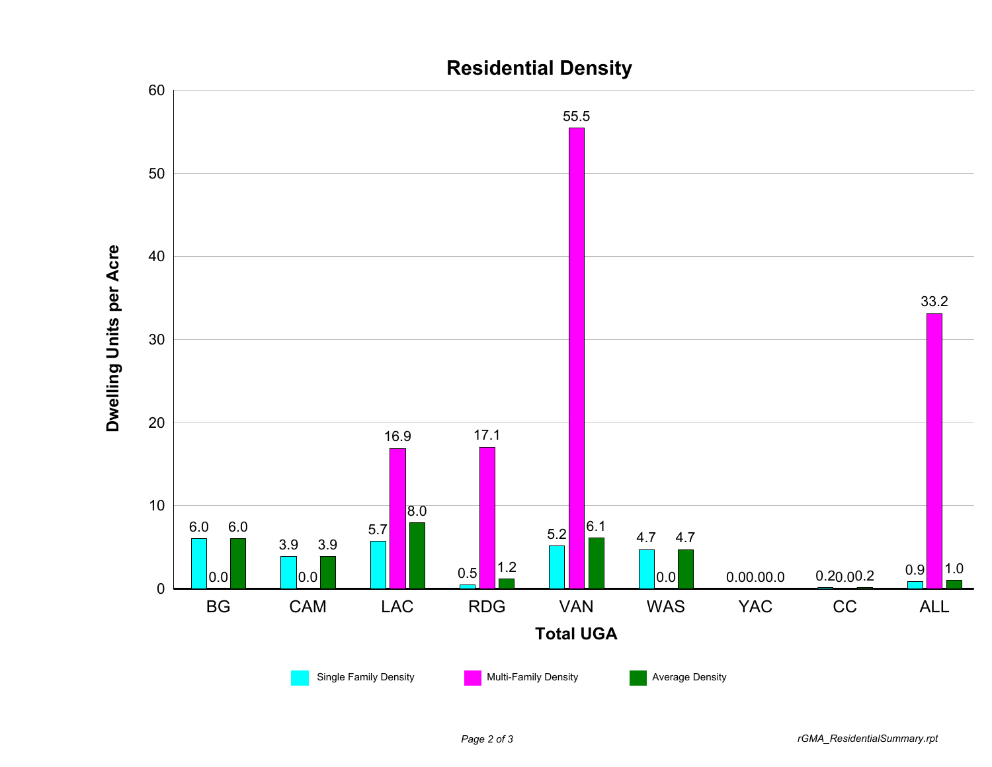